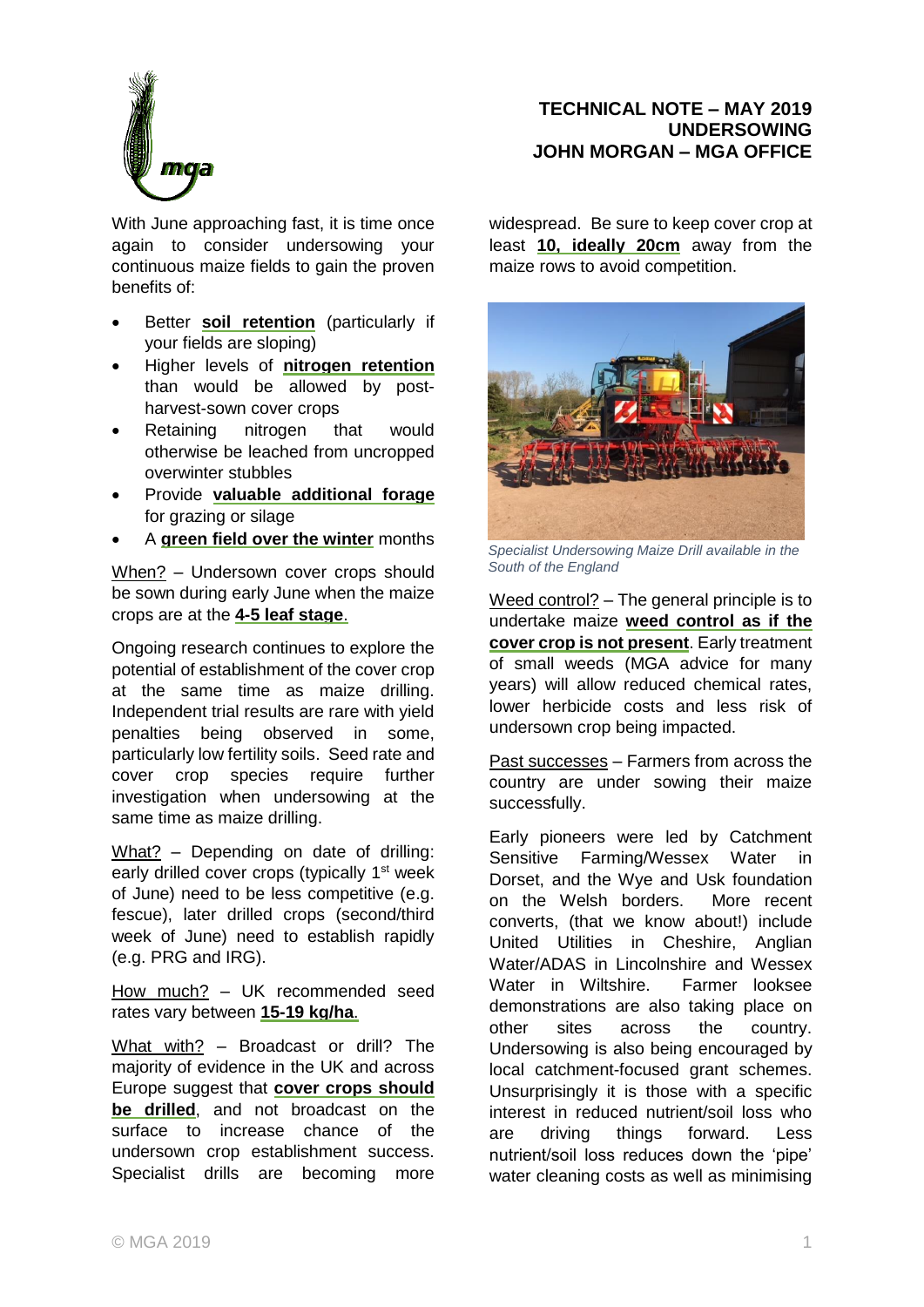

With June approaching fast, it is time once again to consider undersowing your continuous maize fields to gain the proven benefits of:

- Better **soil retention** (particularly if your fields are sloping)
- Higher levels of **nitrogen retention** than would be allowed by postharvest-sown cover crops
- Retaining nitrogen that would otherwise be leached from uncropped overwinter stubbles
- Provide **valuable additional forage** for grazing or silage
- A **green field over the winter** months

When? – Undersown cover crops should be sown during early June when the maize crops are at the **4-5 leaf stage**.

Ongoing research continues to explore the potential of establishment of the cover crop at the same time as maize drilling. Independent trial results are rare with yield penalties being observed in some, particularly low fertility soils. Seed rate and cover crop species require further investigation when undersowing at the same time as maize drilling.

What? - Depending on date of drilling: early drilled cover crops (typically 1<sup>st</sup> week of June) need to be less competitive (e.g. fescue), later drilled crops (second/third week of June) need to establish rapidly (e.g. PRG and IRG).

How much? - UK recommended seed rates vary between **15-19 kg/ha**.

What with? – Broadcast or drill? The majority of evidence in the UK and across Europe suggest that **cover crops should be drilled**, and not broadcast on the surface to increase chance of the undersown crop establishment success. Specialist drills are becoming more

## **TECHNICAL NOTE – MAY 2019 UNDERSOWING JOHN MORGAN – MGA OFFICE**

widespread. Be sure to keep cover crop at least **10, ideally 20cm** away from the maize rows to avoid competition.



*Specialist Undersowing Maize Drill available in the South of the England*

Weed control? – The general principle is to undertake maize **weed control as if the cover crop is not present**. Early treatment of small weeds (MGA advice for many years) will allow reduced chemical rates, lower herbicide costs and less risk of undersown crop being impacted.

Past successes – Farmers from across the country are under sowing their maize successfully.

Early pioneers were led by Catchment Sensitive Farming/Wessex Water in Dorset, and the Wye and Usk foundation on the Welsh borders. More recent converts, (that we know about!) include United Utilities in Cheshire, Anglian Water/ADAS in Lincolnshire and Wessex Water in Wiltshire. Farmer looksee demonstrations are also taking place on other sites across the country. Undersowing is also being encouraged by local catchment-focused grant schemes. Unsurprisingly it is those with a specific interest in reduced nutrient/soil loss who are driving things forward. Less nutrient/soil loss reduces down the 'pipe' water cleaning costs as well as minimising